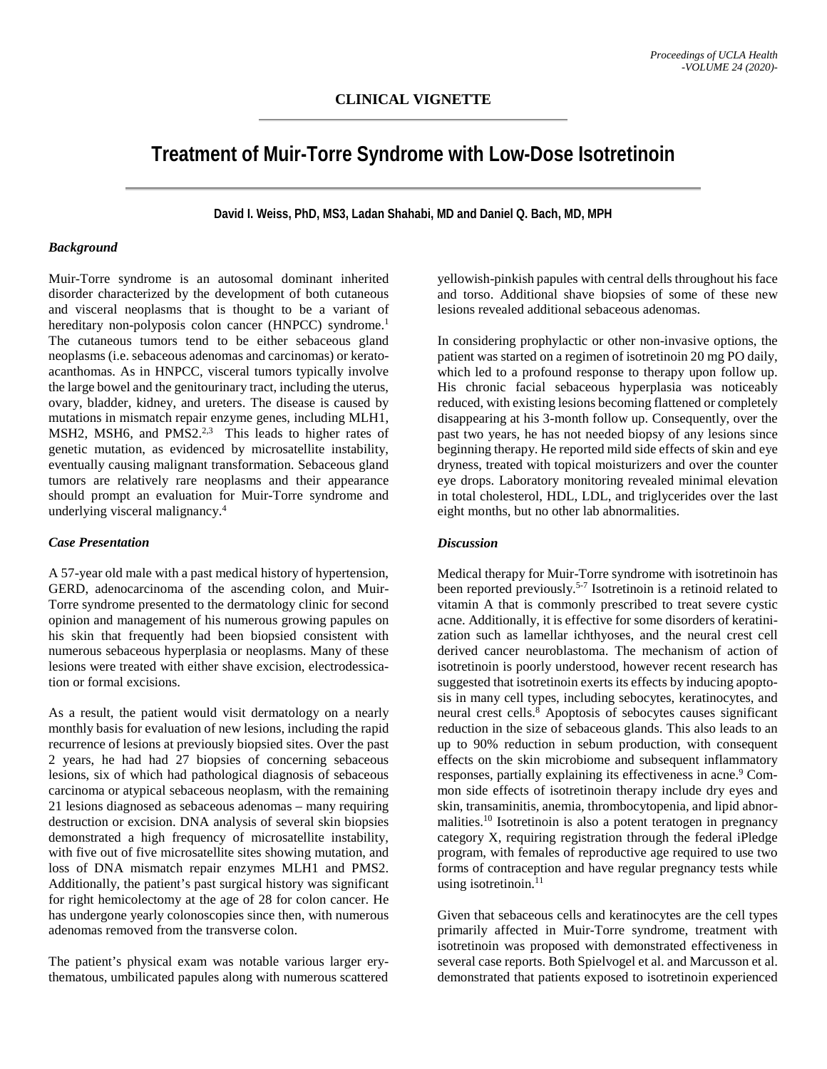# **Treatment of Muir-Torre Syndrome with Low-Dose Isotretinoin**

**David I. Weiss, PhD, MS3, Ladan Shahabi, MD and Daniel Q. Bach, MD, MPH**

### *Background*

Muir-Torre syndrome is an autosomal dominant inherited disorder characterized by the development of both cutaneous and visceral neoplasms that is thought to be a variant of hereditary non-polyposis colon cancer (HNPCC) syndrome.<sup>1</sup> The cutaneous tumors tend to be either sebaceous gland neoplasms (i.e. sebaceous adenomas and carcinomas) or keratoacanthomas. As in HNPCC, visceral tumors typically involve the large bowel and the genitourinary tract, including the uterus, ovary, bladder, kidney, and ureters. The disease is caused by mutations in mismatch repair enzyme genes, including MLH1, MSH2, MSH6, and PMS2. $2,3$  This leads to higher rates of genetic mutation, as evidenced by microsatellite instability, eventually causing malignant transformation. Sebaceous gland tumors are relatively rare neoplasms and their appearance should prompt an evaluation for Muir-Torre syndrome and underlying visceral malignancy. 4

# *Case Presentation*

A 57-year old male with a past medical history of hypertension, GERD, adenocarcinoma of the ascending colon, and Muir-Torre syndrome presented to the dermatology clinic for second opinion and management of his numerous growing papules on his skin that frequently had been biopsied consistent with numerous sebaceous hyperplasia or neoplasms. Many of these lesions were treated with either shave excision, electrodessication or formal excisions.

As a result, the patient would visit dermatology on a nearly monthly basis for evaluation of new lesions, including the rapid recurrence of lesions at previously biopsied sites. Over the past 2 years, he had had 27 biopsies of concerning sebaceous lesions, six of which had pathological diagnosis of sebaceous carcinoma or atypical sebaceous neoplasm, with the remaining 21 lesions diagnosed as sebaceous adenomas – many requiring destruction or excision. DNA analysis of several skin biopsies demonstrated a high frequency of microsatellite instability, with five out of five microsatellite sites showing mutation, and loss of DNA mismatch repair enzymes MLH1 and PMS2. Additionally, the patient's past surgical history was significant for right hemicolectomy at the age of 28 for colon cancer. He has undergone yearly colonoscopies since then, with numerous adenomas removed from the transverse colon.

The patient's physical exam was notable various larger erythematous, umbilicated papules along with numerous scattered yellowish-pinkish papules with central dells throughout his face and torso. Additional shave biopsies of some of these new lesions revealed additional sebaceous adenomas.

In considering prophylactic or other non-invasive options, the patient was started on a regimen of isotretinoin 20 mg PO daily, which led to a profound response to therapy upon follow up. His chronic facial sebaceous hyperplasia was noticeably reduced, with existing lesions becoming flattened or completely disappearing at his 3-month follow up. Consequently, over the past two years, he has not needed biopsy of any lesions since beginning therapy. He reported mild side effects of skin and eye dryness, treated with topical moisturizers and over the counter eye drops. Laboratory monitoring revealed minimal elevation in total cholesterol, HDL, LDL, and triglycerides over the last eight months, but no other lab abnormalities.

## *Discussion*

Medical therapy for Muir-Torre syndrome with isotretinoin has been reported previously.<sup>5-7</sup> Isotretinoin is a retinoid related to vitamin A that is commonly prescribed to treat severe cystic acne. Additionally, it is effective for some disorders of keratinization such as lamellar ichthyoses, and the neural crest cell derived cancer neuroblastoma. The mechanism of action of isotretinoin is poorly understood, however recent research has suggested that isotretinoin exerts its effects by inducing apoptosis in many cell types, including sebocytes, keratinocytes, and neural crest cells. <sup>8</sup> Apoptosis of sebocytes causes significant reduction in the size of sebaceous glands. This also leads to an up to 90% reduction in sebum production, with consequent effects on the skin microbiome and subsequent inflammatory responses, partially explaining its effectiveness in acne. <sup>9</sup> Common side effects of isotretinoin therapy include dry eyes and skin, transaminitis, anemia, thrombocytopenia, and lipid abnormalities. <sup>10</sup> Isotretinoin is also a potent teratogen in pregnancy category X, requiring registration through the federal iPledge program, with females of reproductive age required to use two forms of contraception and have regular pregnancy tests while using isotretinoin. 11

Given that sebaceous cells and keratinocytes are the cell types primarily affected in Muir-Torre syndrome, treatment with isotretinoin was proposed with demonstrated effectiveness in several case reports. Both Spielvogel et al. and Marcusson et al. demonstrated that patients exposed to isotretinoin experienced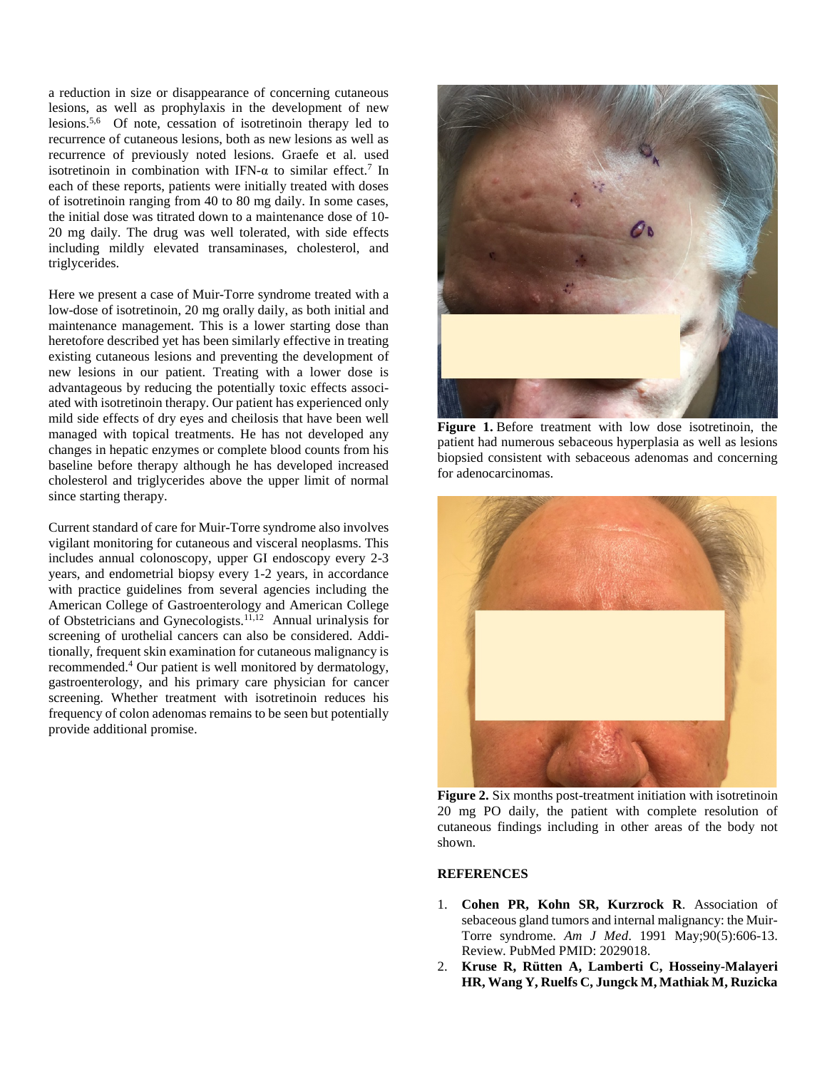a reduction in size or disappearance of concerning cutaneous lesions, as well as prophylaxis in the development of new lesions. 5,6 Of note, cessation of isotretinoin therapy led to recurrence of cutaneous lesions, both as new lesions as well as recurrence of previously noted lesions. Graefe et al. used isotretinoin in combination with IFN- $\alpha$  to similar effect.<sup>7</sup> In each of these reports, patients were initially treated with doses of isotretinoin ranging from 40 to 80 mg daily. In some cases, the initial dose was titrated down to a maintenance dose of 10- 20 mg daily. The drug was well tolerated, with side effects including mildly elevated transaminases, cholesterol, and triglycerides.

Here we present a case of Muir-Torre syndrome treated with a low-dose of isotretinoin, 20 mg orally daily, as both initial and maintenance management. This is a lower starting dose than heretofore described yet has been similarly effective in treating existing cutaneous lesions and preventing the development of new lesions in our patient. Treating with a lower dose is advantageous by reducing the potentially toxic effects associated with isotretinoin therapy. Our patient has experienced only mild side effects of dry eyes and cheilosis that have been well managed with topical treatments. He has not developed any changes in hepatic enzymes or complete blood counts from his baseline before therapy although he has developed increased cholesterol and triglycerides above the upper limit of normal since starting therapy.

Current standard of care for Muir-Torre syndrome also involves vigilant monitoring for cutaneous and visceral neoplasms. This includes annual colonoscopy, upper GI endoscopy every 2-3 years, and endometrial biopsy every 1-2 years, in accordance with practice guidelines from several agencies including the American College of Gastroenterology and American College of Obstetricians and Gynecologists. 11,12 Annual urinalysis for screening of urothelial cancers can also be considered. Additionally, frequent skin examination for cutaneous malignancy is recommended. <sup>4</sup> Our patient is well monitored by dermatology, gastroenterology, and his primary care physician for cancer screening. Whether treatment with isotretinoin reduces his frequency of colon adenomas remains to be seen but potentially provide additional promise.



**Figure 1.** Before treatment with low dose isotretinoin, the patient had numerous sebaceous hyperplasia as well as lesions biopsied consistent with sebaceous adenomas and concerning for adenocarcinomas.



**Figure 2.** Six months post-treatment initiation with isotretinoin 20 mg PO daily, the patient with complete resolution of cutaneous findings including in other areas of the body not shown.

#### **REFERENCES**

- 1. **Cohen PR, Kohn SR, Kurzrock R**. Association of sebaceous gland tumors and internal malignancy: the Muir-Torre syndrome. *Am J Med*. 1991 May;90(5):606-13. Review. PubMed PMID: 2029018.
- 2. **Kruse R, Rütten A, Lamberti C, Hosseiny-Malayeri HR, Wang Y, Ruelfs C, Jungck M, Mathiak M, Ruzicka**